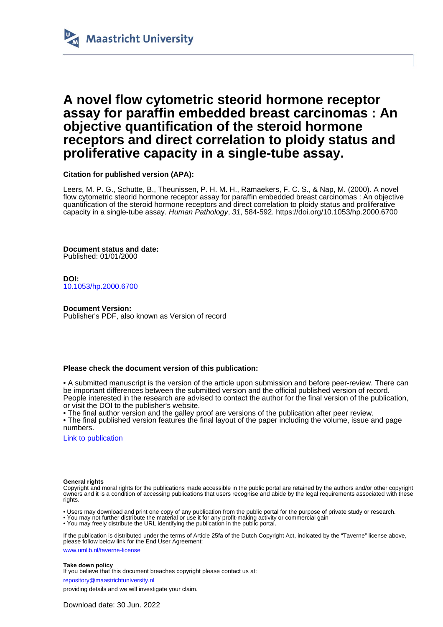

## **A novel flow cytometric steorid hormone receptor assay for paraffin embedded breast carcinomas : An objective quantification of the steroid hormone receptors and direct correlation to ploidy status and proliferative capacity in a single-tube assay.**

**Citation for published version (APA):**

Leers, M. P. G., Schutte, B., Theunissen, P. H. M. H., Ramaekers, F. C. S., & Nap, M. (2000). A novel flow cytometric steorid hormone receptor assay for paraffin embedded breast carcinomas : An objective quantification of the steroid hormone receptors and direct correlation to ploidy status and proliferative capacity in a single-tube assay. Human Pathology, 31, 584-592. <https://doi.org/10.1053/hp.2000.6700>

**Document status and date:** Published: 01/01/2000

**DOI:** [10.1053/hp.2000.6700](https://doi.org/10.1053/hp.2000.6700)

#### **Document Version:**

Publisher's PDF, also known as Version of record

#### **Please check the document version of this publication:**

• A submitted manuscript is the version of the article upon submission and before peer-review. There can be important differences between the submitted version and the official published version of record. People interested in the research are advised to contact the author for the final version of the publication, or visit the DOI to the publisher's website.

• The final author version and the galley proof are versions of the publication after peer review.

• The final published version features the final layout of the paper including the volume, issue and page numbers.

[Link to publication](https://cris.maastrichtuniversity.nl/en/publications/8f7cf0cc-6dc3-4deb-a654-868e4abb8323)

#### **General rights**

Copyright and moral rights for the publications made accessible in the public portal are retained by the authors and/or other copyright owners and it is a condition of accessing publications that users recognise and abide by the legal requirements associated with these rights.

• Users may download and print one copy of any publication from the public portal for the purpose of private study or research.

• You may not further distribute the material or use it for any profit-making activity or commercial gain

• You may freely distribute the URL identifying the publication in the public portal.

If the publication is distributed under the terms of Article 25fa of the Dutch Copyright Act, indicated by the "Taverne" license above, please follow below link for the End User Agreement:

www.umlib.nl/taverne-license

#### **Take down policy**

If you believe that this document breaches copyright please contact us at: repository@maastrichtuniversity.nl

providing details and we will investigate your claim.

Download date: 30 Jun. 2022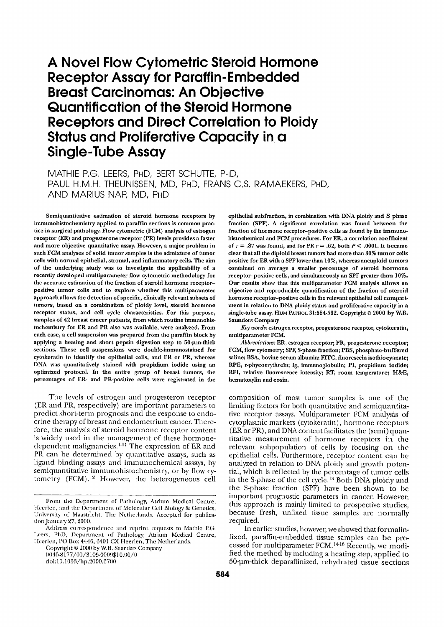# A Novel Flow Cytometric Steroid Hormone **Receptor Assay for Paraffin-Embedded Breast Carcinomas: An Objective** Quantification of the Steroid Hormone **Receptors and Direct Correlation to Ploidy Status and Proliferative Capacity in a Single-Tube Assay**

MATHIE P.G. LEERS, PHD, BERT SCHUTTE, PHD, PAUL H.M.H. THEUNISSEN, MD, PHD, FRANS C.S. RAMAEKERS, PHD, AND MARIUS NAP, MD, PHD

Semiquantitative estimation of steroid hormone receptors by immunohistochemistry applied to paraffin sections is common practice in surgical pathology. Flow cytometric (FCM) analysis of estrogen receptor (ER) and progesterone receptor (PR) levels provides a faster and more objective quantitative assay. However, a major problem in such FCM analyses of solid tumor samples is the admixture of tumor cells with normal epithelial, stromal, and inflammatory cells. The aim of the underlying study was to investigate the applicability of a recently developed multiparameter flow cytometric methodology for the accurate estimation of the fraction of steroid hormone receptorpositive tumor cells and to explore whether this multiparameter approach allows the detection of specific, clinically relevant subsets of tumors, based on a combination of ploidy level, steroid hormone receptor status, and cell cycle characteristics. For this purpose, samples of 42 breast cancer patients, from which routine immunohistochemistry for ER and PR also was available, were analyzed. From each case, a cell suspension was prepared from the paraffin block by applying a heating and short pepsin digestion step to 50-um-thick sections. These cell suspensions were double-immunostained for cytokeratin to identify the epithelial cells, and ER or PR, whereas DNA was quantitatively stained with propidium iodide using an optimized protocol. In the entire group of breast tumors, the percentages of ER- and PR-positive cells were registrated in the

The levels of estrogen and progesteron receptor (ER and PR, respectively) are important parameters to predict short-term prognosis and the response to endocrine therapy of breast and endometrium cancer. Therefore, the analysis of steroid hormone receptor content is widely used in the management of these hormonedependent malignancies.<sup>141</sup> The expression of ER and PR can be determined by quantitative assays, such as ligand binding assays and immunochemical assays, by semiquantitative immunohistochemistry, or by flow cytometry (FCM).<sup>12</sup> However, the heterogeneous cell

Copyright © 2000 by W.B. Saunders Company 0046-8177/00/3105-0009\$10.00/0 doi:10.1053/hp.2000.6700

epithelial subfraction, in combination with DNA ploidy and S phase fraction (SPF). A significant correlation was found between the fraction of hormone receptor-positive cells as found by the immunohistochemical and FCM procedures. For ER, a correlation coefficient of  $r = .87$  was found, and for PR  $r = .62$ , both  $P < .0001$ . It became clear that all the diploid breast tumors had more than 30% tumor cells positive for ER with a SPF lower than 10%, whereas aneuploid tumors contained on average a smaller percentage of steroid hormone receptor-positive cells, and simultaneously an SPF greater than 10%. Our results show that this multiparameter FCM analysis allows an objective and reproducible quantification of the fraction of steroid hormone receptor-positive cells in the relevant epithelial cell compartment in relation to DNA ploidy status and proliferative capacity in a single-tube assay. HUM PATHOL 31:584-592. Copyright @ 2000 by W.B. **Saunders Company** 

Key words: estrogen receptor, progesterone receptor, cytokeratin, multiparameter FCM.

Abbreviations: ER, estrogen receptor; PR, progesterone receptor; FCM, flow cytometry; SPF, S-phase fraction; PBS, phosphate-buffered saline; BSA, bovine serum albumin; FITC, fluorescein isothiocyanate; RPE, r-phycoerythreïn; Ig, immunoglobulin; PI, propidium iodide; RFI, relative fluorescence intensity; RT, room temperature; H&E, hematoxylin and eosin.

composition of most tumor samples is one of the limiting factors for both quantitative and semiquantitative receptor assays. Multiparameter FCM analysis of cytoplasmic markers (cytokeratin), hormone receptors (ER or PR), and DNA content facilitates the (semi) quantitative measurement of hormone receptors in the relevant subpopulation of cells by focusing on the epithelial cells. Furthermore, receptor content can be analyzed in relation to DNA ploidy and growth potential, which is reflected by the percentage of tumor cells in the S-phase of the cell cycle.<sup>13</sup> Both DNA ploidy and the S-phase fraction (SPF) have been shown to be important prognostic parameters in cancer. However, this approach is mainly limited to prospective studies, because fresh, unfixed tissue samples are normally required.

In earlier studies, however, we showed that formalinfixed, paraffin-embedded tissue samples can be processed for multiparameter FCM.<sup>14-16</sup> Recently, we modified the method by including a heating step, applied to 50-um-thick deparaffinized, rehydrated tissue sections

From the Department of Pathology, Atrium Medical Centre, Heerlen, and the Department of Molecular Cell Biology & Genetics, University of Maastricht, The Netherlands. Accepted for publication January 27, 2000.

Address correspondence and reprint requests to Mathie P.G.<br>Leers, PhD, Department of Pathology, Atrium Medical Centre,<br>Heerlen, PO Box 4446, 6401 CX Heerlen, The Netherlands.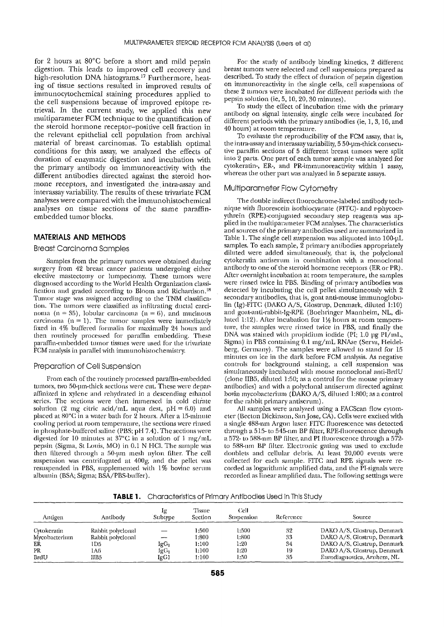for 2 hours at 80°C before a short and mild pepsin digestion. This leads to improved cell recovery and high-resolution DNA histograms.<sup>17</sup> Furthermore, heating of tissue sections resulted in improved results of immunocytochemical staining procedures applied to the cell suspensions because of improved epitope retrieval. In the current study, we applied this new multiparameter FCM technique to the quantification of the steroid hormone receptor-positive cell fraction in the relevant epithelial cell population from archival material of breast carcinomas. To establish optimal conditions for this assay, we analyzed the effects of duration of enzymatic digestion and incubation with the primary antibody on immunoreactivity with the different antibodies directed against the steroid hormone receptors, and investigated the intra-assay and interassay variability. The results of these trivariate FCM analyses were compared with the immunohistochemical analyses on tissue sections of the same paraffinembedded tumor blocks.

## **MATERIALS AND METHODS**

#### **Breast Carcinoma Samples**

Samples from the primary tumors were obtained during surgery from 42 breast cancer patients undergoing either elective mastectomy or lumpectomy. These tumors were diagnosed according to the World Health Organization classification and graded according to Bloom and Richardson.<sup>18</sup> Tumor stage was assigned according to the TNM classification. The tumors were classified as infiltrating ductal carcinoma (n = 35), lobular carcinoma (n = 6), and muchous carcinoma  $(n = 1)$ . The tumor samples were immediately fixed in 4% buffered formalin for maximally 24 hours and then routinely processed for paraffin embedding. These paraffin-embedded tumor tissues were used for the trivariate FCM analysis in parallel with immunohistochemistry.

#### Preparation of Cell Suspension

From each of the routinely processed paraffin-embedded tumors, two 50-um-thick sections were cut. These were deparaffinized in xylene and rehydrated in a descending ethanol series. The sections were then immersed in cold citrate solution (2 mg citric acid/mL aqua dest,  $pH = 6.0$ ) and placed at 80°C in a water bath for 2 hours. After a 15-minute cooling period at room temperature, the sections were rinsed in phosphate-buffered saline (PBS; pH 7.4). The sections were digested for 10 minutes at 37°C in a solution of 1 mg/mL pepsin (Sigma, St Louis, MO) in 0.1 N HCl. The sample was then filtered through a 50-um mesh nylon filter. The cell suspension was centrifugated at 400g, and the pellet was resuspended in PBS, supplemented with 1% bovine serum albumin (BSA; Sigma; BSA/PBS-buffer).

For the study of antibody binding kinetics, 2 different breast tumors were selected and cell suspensions prepared as described. To study the effect of duration of pepsin digestion on immunoreactivity in the single cells, cell suspensions of these 2 tumors were incubated for different periods with the pepsin solution (ie, 5, 10, 20, 30 minutes).

To study the effect of incubation time with the primary antibody on signal intensity, single cells were incubated for different periods with the primary antibodies (ie, 1, 3, 16, and 40 hours) at room temperature.

To evaluate the reproducibility of the FCM assay, that is, the intra-assay and interassay variability, 5 50-um-thick consecutive paraffin sections of 5 different breast tumors were split into 2 parts. One part of each tumor sample was analyzed for cytokeratin-, ER-, and PR-immunoreactivity within 1 assay, whereas the other part was analyzed in 5 separate assays.

#### Multiparameter Flow Cytometry

The double indirect fluorochrome-labeled antibody technique with fluorescein isothiocyanate (FITC)- and r-phycoerythrein (RPE)-conjugated secondary step reagents was applied in the multiparameter FCM analyses. The characteristics and sources of the primary antibodies used are summarized in Table 1. The single cell suspension was aliquoted into 100-µL samples. To each sample, 2 primary antibodies appropriately diluted were added simultaneously, that is, the polyclonal cytokeratin antiserum in combination with a monoclonal antibody to one of the steroid hormone receptors (ER or PR). After overnight incubation at room temperature, the samples were rinsed twice in PBS. Binding of primary antibodies was detected by incubating the cell pellet simultaneously with 2 secondary antibodies, that is, goat anti-mouse immunoglobulin (Ig)-FITC (DAKO A/S, Glostrup, Denmark, diluted 1:10) and goat-anti-rabbit-Ig-RPE (Boehringer Mannheim, NL, diluted 1:12). After incubation for  $1\frac{1}{2}$  hours at room temperature, the samples were rinsed twice in PBS, and finally the DNA was stained with propidium iodide (PI; 1.0 µg PI/mL, Sigma) in PBS containing 0.1 mg/mL RNAse (Serva, Heidelberg, Germany). The samples were allowed to stand for 15 minutes on ice in the dark before FCM analysis. As negative controls for background staining, a cell suspension was simultaneously incubated with mouse monoclonal anti-BrdU (clone IIB5, diluted 1:50; as a control for the mouse primary antibodies) and with a polyclonal antiserum directed against bovin mycobacterium (DAKO A/S, diluted 1:800; as a control for the rabbit primary antiserum).

All samples were analyzed using a FACScan flow cytometer (Becton Dickinson, San Jose, CA). Cells were excited with a single 488-nm Argon laser. FITC fluorescence was detected through a 515- to 545-nm BP filter, RPE-fluorescence through a 572-10 588-nm BP filter, and PI fluorescence through a 572to 588-nm BP filter. Electronic gating was used to exclude doublets and cellular debris. At least 20,000 events were collected for each sample. FITC and RPE signals were recorded as logarithmic amplified data, and the PI-signals were recorded as linear amplified data. The following settings were

**TABLE 1.** Characteristics of Primary Antibodies Used in This Study

| Antigen       | Antibody          | iα<br>Subtype    | Tissue<br>Section | Cell<br>Suspension | Reference | Source                      |  |
|---------------|-------------------|------------------|-------------------|--------------------|-----------|-----------------------------|--|
| Cytokeratin   | Rabbit polyclonal |                  | 1:500             | 1:500              | 32        | DAKO A/S, Glostrup, Denmark |  |
| Mycobacterium | Rabbit polyclonal | ----             | 1:800             | 1:800              | 33        | DAKO A/S, Glostrup, Denmark |  |
| ER            | 1D5               | IgG <sub>l</sub> | 1:100             | 1:20               | 34        | DAKO A/S, Glostrup, Denmark |  |
| PR            | 1A6               | IgG <sub>1</sub> | 1:100             | 1:20               | 19        | DAKO A/S, Glostrup, Denmark |  |
| BrdU          | IIB5              | IgG1             | 1:100             | 1:50               | 35        | Eurodiagnostica, Arnhem, NL |  |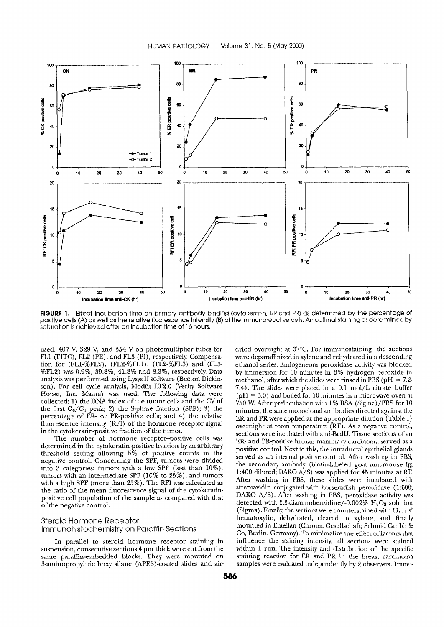

FIGURE 1. Effect incubation time on primary antibody binding (cytokeratin, ER and PR) as determined by the percentage of positive cells (A) as well as the relative fluorescence intensity (B) of the immunoreactive cells. An optimal staining as determined by saturation is achieved after an incubation time of 16 hours.

used: 407 V, 329 V, and 354 V on photomultiplier tubes for FL1 (FITC), FL2 (PE), and FL3 (PI), respectively. Compensation for (FL1-%FL2), (FL2-%FL1), (FL2-%FL3) and (FL3-%FL2) was 0.9%, 39.8%, 41.8% and 8.3%, respectively. Data analysis was performed using Lysys II software (Becton Dickinson). For cell cycle analysis, Modfit LT2.0 (Verity Software House, Inc. Maine) was used. The following data were collected: 1) the DNA index of the tumor cells and the CV of the first  $G_0/G_1$  peak; 2) the S-phase fraction (SPF); 3) the percentage of ER- or PR-positive cells; and 4) the relative fluorescence intensity (RFI) of the hormone receptor signal in the cytokeratin-positive fraction of the tumor.

The number of hormone receptor-positive cells was determined in the cytokeratin-positive fraction by an arbitrary threshold setting allowing 5% of positive counts in the negative control. Concerning the SPF, tumors were divided into 3 categories: tumors with a low SPF (less than 10%), tumors with an intermediate SPF  $(10\%$  to  $25\%)$ , and tumors with a high SPF (more than 25%). The RFI was calculated as the ratio of the mean fluorescence signal of the cytokeratinpositive cell population of the sample as compared with that of the negative control.

## Steroid Hormone Receptor Immunohistochemistry on Paraffin Sections

In parallel to steroid hormone receptor staining in suspension, consecutive sections  $4\,\mu\mathrm{m}$  thick were cut from the same paraffin-embedded blocks. They were mounted on 3-aminopropyltriethoxy silane (APES)-coated slides and airwere deparaffinized in xylene and rehydrated in a descending ethanol series. Endogeneous peroxidase activity was blocked by immersion for 10 minutes in 3% hydrogen peroxide in methanol, after which the slides were rinsed in PBS ( $pH = 7.2$ -7.4). The slides were placed in a 0.1 mol/L citrate buffer ( $pH = 6.0$ ) and boiled for 10 minutes in a microwave oven at 750 W. After preincubation with 1% BSA (Sigma)/PBS for 10 minutes, the same monoclonal antibodies directed against the ER and PR were applied at the appropriate dilution (Table 1) overnight at room temperature (RT). As a negative control, sections were incubated with anti-BrdU. Tissue sections of an ER- and PR-positive human mammary carcinoma served as a positive control. Next to this, the intraductal epithelial glands served as an internal positive control. After washing in PBS, the secondary antibody (biotin-labeled goat anti-mouse Ig; 1:400 diluted; DAKO A/S) was applied for 45 minutes at RT. After washing in PBS, these slides were incubated with streptavidin conjugated with horseradish peroxidase (1:600; DAKO A/S). After washing in PBS, peroxidase activity was detected with 3,3-diaminobenzidine/-0.002%  $H_2O_2$  solution (Sigma). Finally, the sections were counterstained with Harris' hematoxylin, dehydrated, cleared in xylene, and finally mounted in Entellan (Chroma Gesellschaft; Schmid Gmbh & Co, Berlin, Germany). To minimalize the effect of factors that influence the staining intensity, all sections were stained within 1 run. The intensity and distribution of the specific staining reaction for ER and PR in the breast carcinoma samples were evaluated independently by 2 observers. Immu-

dried overnight at 37°C. For immunostaining, the sections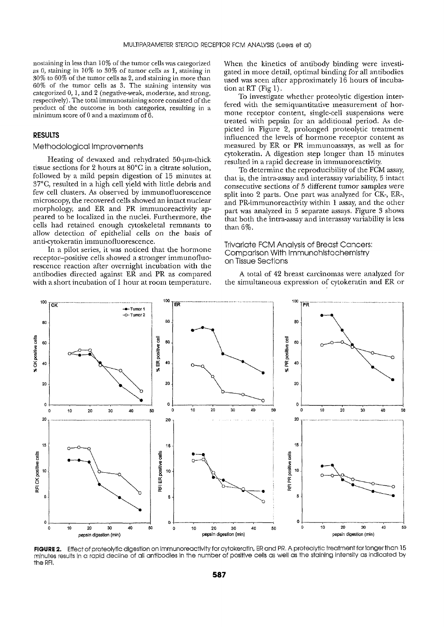nostaining in less than 10% of the tumor cells was categorized as 0, staining in  $10\%$  to  $30\%$  of tumor cells as 1, staining in  $30\%$  to  $60\%$  of the tumor cells as 2, and staining in more than 60% of the tumor cells as 3. The staining intensity was categorized 0, 1, and 2 (negative-weak, moderate, and strong, respectively). The total immunostaining score consisted of the product of the outcome in both categories, resulting in a minimum score of  $0$  and a maximum of  $6$ .

## **RESULTS**

#### Methodological Improvements

Heating of dewaxed and rehydrated 50-um-thick tissue sections for 2 hours at 80°C in a citrate solution, followed by a mild pepsin digestion of 15 minutes at 37°C, resulted in a high cell yield with little debris and few cell clusters. As observed by immunofluorescence microscopy, the recovered cells showed an intact nuclear morphology, and ER and PR immunoreactivity appeared to be localized in the nuclei. Furthermore, the cells had retained enough cytoskeletal remnants to allow detection of epithelial cells on the basis of anti-cytokeratin immunofluorescence.

In a pilot series, it was noticed that the hormone receptor-positive cells showed a stronger immunofluorescence reaction after overnight incubation with the antibodies directed against ER and PR as compared with a short incubation of 1 hour at room temperature.

When the kinetics of antibody binding were investigated in more detail, optimal binding for all antibodies used was seen after approximately 16 hours of incubation at RT (Fig 1).

To investigate whether proteolytic digestion interfered with the semiquantitative measurement of hormone receptor content, single-cell suspensions were treated with pepsin for an additional period. As depicted in Figure 2, prolonged proteolytic treatment influenced the levels of hormone receptor content as measured by ER or PR immunoassays, as well as for cytokeratin. A digestion step longer than 15 minutes resulted in a rapid decrease in immunoreactivity.

To determine the reproducibility of the FCM assay, that is, the intra-assay and interassay variability, 5 intact consecutive sections of 5 different tumor samples were split into 2 parts. One part was analyzed for CK-, ER-, and PR-immunoreactivity within 1 assay, and the other part was analyzed in 5 separate assays. Figure 3 shows that both the intra-assay and interassay variability is less than  $6\%$ .

### **Trivariate FCM Analysis of Breast Cancers:** Comparison With Immunohistochemistry on Tissue Sections

A total of 42 breast carcinomas were analyzed for the simultaneous expression of cytokeratin and ER or



FIGURE 2. Effect of proteolytic digestion on immunoreactivity for cytokeratin, ER and PR. A proteolytic treatment for longer than 15 minutes results in a rapid decline of all antibodies in the number of positive cells as well as the staining intensity as indicated by the RFI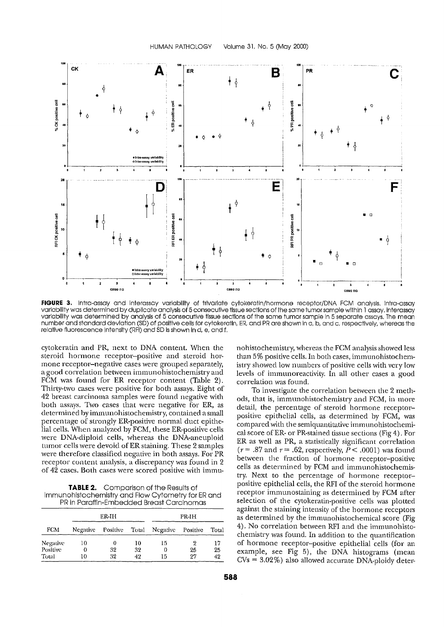

FIGURE 3. Intra-assay and interassay variability of trivariate cytokeratin/hormone receptor/DNA FCM analysis, Intra-assay variability was determined by duplicate analysis of 5 consecutive tissue sections of the same tumor sample within 1 assay, interassay variability was determined by analysis of 5 consecutive tissue sections of the same tumor sample in 5 separate assays. The mean number and standard deviation (SD) of positive cells for cytokeratin, ER, and PR are shown in a, b, and c, respectively, whereas the relative fluorescence intensity (RFI) and SD is shown in d, e, and f.

cytokeratin and PR, next to DNA content. When the steroid hormone receptor-positive and steroid hormone receptor-negative cases were grouped separately, a good correlation between immunohistochemistry and FCM was found for ER receptor content (Table 2). Thirty-two cases were positive for both assays. Eight of 42 breast carcinoma samples were found negative with both assays. Two cases that were negative for ER, as determined by immunohistochemistry, contained a small percentage of strongly ER-positive normal duct epithelial cells. When analyzed by FCM, these ER-positive cells were DNA-diploid cells, whereas the DNA-aneuploid tumor cells were devoid of ER staining. These 2 samples were therefore classified negative in both assays. For PR receptor content analysis, a discrepancy was found in 2 of 42 cases. Both cases were scored positive with immu-

**TABLE 2.** Comparison of the Results of Immunohistochemistry and Flow Cytometry for ER and PR in Paraffin-Embedded Breast Carcinomas

|            |          | ER-IH    |       | PR-IH    |          |       |  |
|------------|----------|----------|-------|----------|----------|-------|--|
| <b>FCM</b> | Negative | Positive | Total | Negative | Positive | Total |  |
| Negative   | 10       | 0        | 10    | 15       | 9        | 17    |  |
| Positive   | 0        | 32       | 32    | 0        | 25       | 25    |  |
| Total      | LO       | 32       | 42    | 15       | 27       | 42    |  |

nohistochemistry, whereas the FCM analysis showed less than 5% positive cells. In both cases, immunohistochemistry showed low numbers of positive cells with very low levels of immunoreactivity. In all other cases a good correlation was found.

To investigate the correlation between the 2 methods, that is, immunohistochemistry and FCM, in more detail, the percentage of steroid hormone receptorpositive epithelial cells, as determined by FCM, was compared with the semiquantitative immunohistochemical score of ER- or PR-stained tissue sections (Fig 4). For ER as well as PR, a statistically significant correlation  $(r=.87$  and  $r=.62$ , respectively,  $P<.0001$ ) was found between the fraction of hormone receptor-positive cells as determined by FCM and immunohistochemistry. Next to the percentage of hormone receptorpositive epithelial cells, the RFI of the steroid hormone receptor immunostaining as determined by FCM after selection of the cytokeratin-positive cells was plotted against the staining intensity of the hormone receptors as determined by the immunohistochemical score (Fig 4). No correlation between RFI and the immunohistochemistry was found. In addition to the quantification of hormone receptor-positive epithelial cells (for an example, see Fig 5), the DNA histograms (mean  $CVs = 3.02\%)$  also allowed accurate DNA-ploidy deter-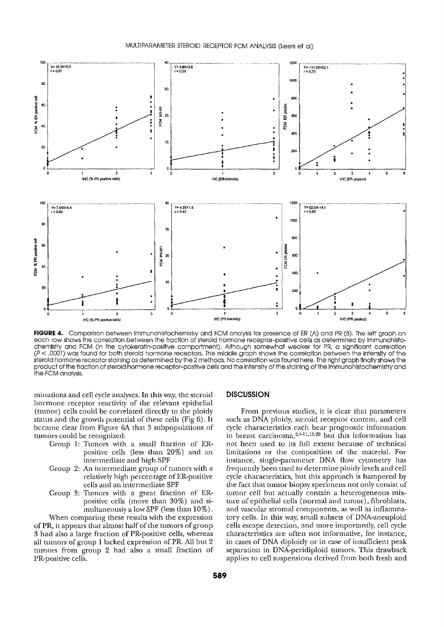

FIGURE 4. Comparison between Immunohistochemistry and FCM analysis for presence of ER (A) and PR (B). The left graph on each row shows the correlation between the fraction of steroid hormone receptor-positive cells as determined by immunohistochemistry and FCM (in the cytokeratin-positive compartment). Although somewhat weaker for PR, a significant correlation  $(P < .0001)$  was found for both steroid hormone receptors. The middle graph shows the correlation between the intensity of the expective to the faction of the faction of steroid hormone receptor-positive cells and the intensity of the staining of the finally shows the product of the fraction of steroid hormone receptor-positive cells and the inten the FCM analysis.

minations and cell cycle analyses. In this way, the steroid hormone receptor reactivity of the relevant epithelial (tumor) cells could be correlated directly to the ploidy status and the growth potential of these cells (Fig 6). It became clear from Figure 6A that 3 subpopulations of tumors could be recognized:

- Group 1: Tumors with a small fraction of ERpositive cells (less than 20%) and an intermediate and high SPF
- Group 2: An intermediate group of tumors with a relatively high percentage of ER-positive cells and an intermediate SPF
- Group 3: Tumors with a great fraction of ERpositive cells (more than 30%) and simultaneously a low SPF (less than 10%).

When comparing these results with the expression of PR, it appears that almost half of the tumors of group 3 had also a large fraction of PR-positive cells, whereas all tumors of group 1 lacked expression of PR. All but 2 tumors from group 2 had also a small fraction of PR-positive cells.

#### **DISCUSSION**

From previous studies, it is clear that parameters such as DNA ploidy, steroid receptor content, and cell cycle characteristics each bear prognostic information in breast carcinoma,<sup>2,4-11,13,20</sup> but this information has not been used to its full extent because of technical limitations or the composition of the material. For instance, single-parameter DNA flow cytometry has frequently been used to determine ploidy levels and cell cycle characteristics, but this approach is hampered by the fact that tumor biopsy specimens not only consist of tumor cell but actually contain a heterogeneous mixture of epithelial cells (normal and tumor), fibroblasts, and vascular stromal components, as well as inflammatory cells. In this way, small subsets of DNA-aneuploid cells escape detection, and more importantly, cell cycle characteristics are often not informative, for instance, in cases of DNA diploidy or in case of insufficient peak separation in DNA-peridiploid tumors. This drawback applies to cell suspensions derived from both fresh and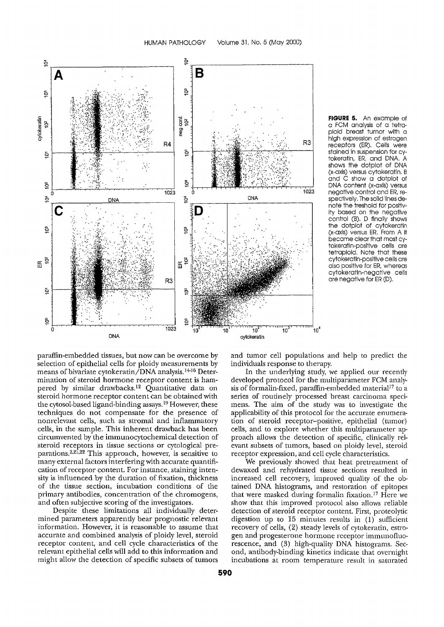

FIGURE 5. An example of a FCM analysis of a tetraploid breast tumor with a high expression of estrogen receptors (ER). Cells were stalned in suspension for cytokeratin, ER, and DNA. A shows the dotplot of DNA (x-axis) versus cytokeratin. B<br>and C show a dotplot of DNA content (x-axis) versus negative control and ER, respectively. The solid lines denote the treshold for positivity based on the negative control (B). D finally shows the dotplot of cytokeratin (x-axls) versus ER. From A it became clear that most cytokeratin-positive cells are tetraploid. Note that these cytokeratin-positive cells are also positive for ER, whereas cytokeratin-negative cells are negative for ER (D).

paraffin-embedded tissues, but now can be overcome by selection of epithelial cells for ploidy measurements by means of bivariate cytokeratin/DNA analysis.<sup>14-16</sup> Determination of steroid hormone receptor content is hampered by similar drawbacks.<sup>12</sup> Quantitative data on steroid hormone receptor content can be obtained with the cytosol-based ligand-binding assays.<sup>19</sup> However, these techniques do not compensate for the presence of nonrelevant cells, such as stromal and inflammatory cells, in the sample. This inherent drawback has been circumvented by the immunocytochemical detection of steroid receptors in tissue sections or cytological preparations.<sup>2,21,22</sup> This approach, however, is sensitive to many external factors interfering with accurate quantification of receptor content. For instance, staining intensity is influenced by the duration of fixation, thickness of the tissue section, incubation conditions of the primary antibodies, concentration of the chromogens, and often subjective scoring of the investigators.

Despite these limitations all individually determined parameters apparently bear prognostic relevant information. However, it is reasonable to assume that accurate and combined analysis of ploidy level, steroid receptor content, and cell cycle characteristics of the relevant epithelial cells will add to this information and might allow the detection of specific subsets of tumors

and tumor cell populations and help to predict the individuals response to therapy.

In the underlying study, we applied our recently developed protocol for the multiparameter FCM analysis of formalin-fixed, paraffin-embedded material<sup>17</sup> to a series of routinely processed breast carcinoma specimens. The aim of the study was to investigate the applicability of this protocol for the accurate enumeration of steroid receptor-positive, epithelial (tumor) cells, and to explore whether this multiparameter approach allows the detection of specific, clinically relevant subsets of tumors, based on ploidy level, steroid receptor expression, and cell cycle characteristics.

We previously showed that heat pretreatment of dewaxed and rehydrated tissue sections resulted in increased cell recovery, improved quality of the obtained DNA histograms, and restoration of epitopes that were masked during formalin fixation.<sup>17</sup> Here we show that this improved protocol also allows reliable detection of steroid receptor content. First, proteolytic digestion up to 15 minutes results in  $(1)$  sufficient recovery of cells, (2) steady levels of cytokeratin, estrogen and progesterone hormone receptor immunofluorescence, and (3) high-quality DNA histograms. Second, antibody-binding kinetics indicate that overnight incubations at room temperature result in saturated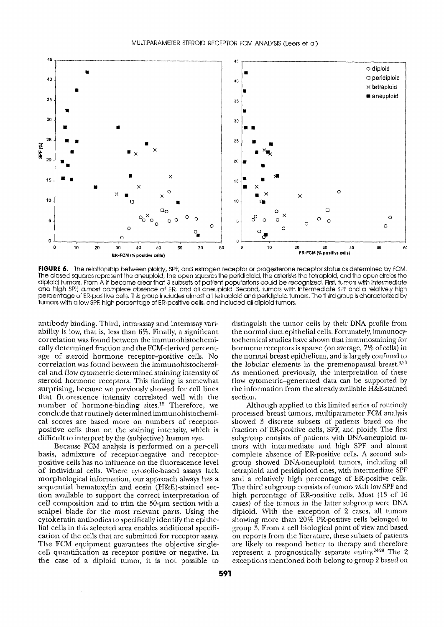

FIGURE 6. The relationship between ploidy, SPF, and estrogen receptor or progesterone receptor status as determined by FCM. The closed squares represent the aneuploid, the open squares the peridipioid, the asterisks the tetrapioid, and the open circles the diploid tumors. From A it became clear that 3 subsets of patient populations could be recognized. First, tumors with intermediate and high SPF, almost complete absence of ER, and all aneuploid. Second, tumors with infermediate SPF and a relatively high percentage of ER-positive cells. This group includes almost all tetrapiold and peridipiold tumors. The third group is characterized by tumors with a low SPF, high percentage of ER-positive cells, and included all diploid tumors.

antibody binding. Third, intra-assay and interassay variability is low, that is, less than 6%. Finally, a significant correlation was found between the immunohistochemically determined fraction and the FCM-derived percentage of steroid hormone receptor-positive cells. No correlation was found between the immunohistochemical and flow cytometric determined staining intensity of steroid hormone receptors. This finding is somewhat surprising, because we previously showed for cell lines that fluorescence intensity correlated well with the number of hormone-binding sites.<sup>12</sup> Therefore, we conclude that routinely determined immunohistochemical scores are based more on numbers of receptorpositive cells than on the staining intensity, which is difficult to interpret by the (subjective) human eye.

Because FCM analysis is performed on a per-cell basis, admixture of receptor-negative and receptorpositive cells has no influence on the fluorescence level of individual cells. Where cytosolic-based assays lack morphological information, our approach always has a sequential hematoxylin and eosin (H&E)-stained section available to support the correct interpretation of cell composition and to trim the 50-um section with a scalpel blade for the most relevant parts. Using the cytokeratin antibodies to specifically identify the epithelial cells in this selected area enables additional specification of the cells that are submitted for receptor assay. The FCM equipment guarantees the objective singlecell quantification as receptor positive or negative. In the case of a diploid tumor, it is not possible to

 $\bar{z}$ 

distinguish the tumor cells by their DNA profile from the normal duct epithelial cells. Fortunately, immunocytochemical studies have shown that immunostaining for hormone receptors is sparse (on average, 7% of cells) in the normal breast epithelium, and is largely confined to the lobular elements in the premenopausal breast.<sup>9,23</sup> As mentioned previously, the interpretation of these flow cytometric-generated data can be supported by the information from the already available H&E-stained section.

Although applied to this limited series of routinely processed breast tumors, multiparameter FCM analysis showed 3 discrete subsets of patients based on the fraction of ER-positive cells, SPF, and ploidy. The first subgroup consists of patients with DNA-aneuploid tumors with intermediate and high SPF and almost complete absence of ER-positive cells. A second subgroup showed DNA-aneuploid tumors, including all tetraploid and peridiploid ones, with intermediate SPF and a relatively high percentage of ER-positive cells. The third subgroup consists of tumors with low SPF and high percentage of ER-positive cells. Most (13 of 16 cases) of the tumors in the latter subgroup were DNA diploid. With the exception of 2 cases, all tumors showing more than 20% PR-positive cells belonged to group 3. From a cell biological point of view and based on reports from the literature, these subsets of patients are likely to respond better to therapy and therefore represent a prognostically separate entity.<sup>24-29</sup> The 2 exceptions mentioned both belong to group 2 based on